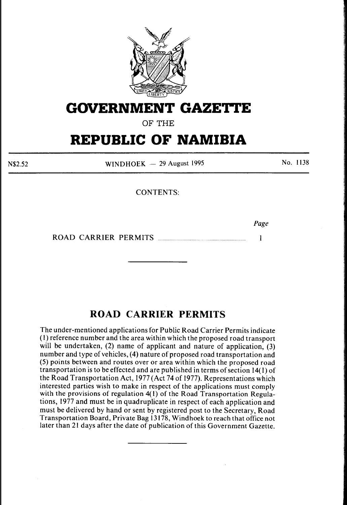

## **GOVERNMENT GAZETTE**

OF THE

# **REPUBLIC OF NAMIBIA**

N\$2.52

WINDHOEK  $-$  29 August 1995

No. 1138

CONTENTS:

*Page* 

 $\blacksquare$ 

ROAD CARRIER PERMITS ................................................................. .

### **ROAD CARRIER PERMITS**

The under-mentioned applications for Public Road Carrier Permits indicate (I) reference number and the area within which the proposed road transport will be undertaken, (2) name of applicant and nature of application, (3) number and type of vehicles, (4) nature of proposed road transportation and (5) points between and routes over or area within which the proposed road transportation is to be effected and are published in terms of section 14( I) of the Road Transportation Act, 1977 (Act 74 of 1977). Representations which interested parties wish to make in respect of the applications must comply with the provisions of regulation  $4(1)$  of the Road Transportation Regulations, 1977 and must be in quadruplicate in respect of each application and must be delivered by hand or sent by registered post to the Secretary, Road Transportation Board, Private Bag 13178, Windhoek to reach that office not later than 21 days after the date of publication of this Government Gazette.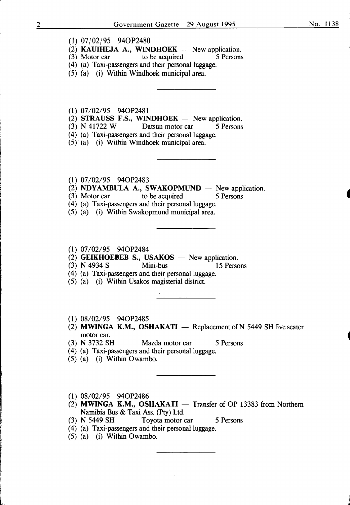- (1) 07/02/95 940P2480
- (2) **KAUIHEJA A., WINDHOEK** New application.<br>(3) Motor car to be acquired 5 Persons
- $(3)$  Motor car
- (4) (a) Taxi-passengers and their personal luggage.
- (5) (a) (i) Within Windhoek municipal area.
- (1) 07/02/95 940P2481
- (2) STRAUSS F.S., WINDHOEK New application.<br>
(3) N 41722 W Datsun motor car 5 Persons
- Datsun motor car 5 Persons
- (4) (a) Taxi-passengers and their personal luggage.
- (5) (a) (i) Within Windhoek municipal area.
- (1) 07/02/95 940P2483
- (2) NDYAMBULA A., SWAKOPMUND  $-$  New application.
- (3) Motor car to be acquired 5 Persons
- (4) (a) Taxi-passengers and their personal luggage.
- (5) (a) (i) Within Swakopmund municipal area.
- (1) 07/02/95 940P2484
- (2) GEIKHOEBEB S., USAKOS New application.<br>  $(3)$  N 4934 S Mini-bus 15 Person
- (3) N 4934 S Mini-bus 15 Persons
- (4) (a) Taxi-passengers and their personal luggage.
- (5) (a) (i) Within Usakos magisterial district.
- (1) 08/02/95 940P2485
- (2) MWINGA K.M., OSHAKATI  $-$  Replacement of N 5449 SH five seater motor car.
- (3) N 3732 SH Mazda motor car 5 Persons
- (4) (a) Taxi-passengers and their personal luggage.
- (5) (a) (i) Within Owambo.
- (1) 08/02/95 940P2486
- $(2)$  MWINGA K.M., OSHAKATI Transfer of OP 13383 from Northern Namibia Bus & Taxi Ass. (Pty) Ltd.<br>(3) N 5449 SH Toyota motor c
- Toyota motor car 5 Persons
- (4) (a) Taxi-passengers and their personal luggage.
- (5) (a) (i) Within Owambo.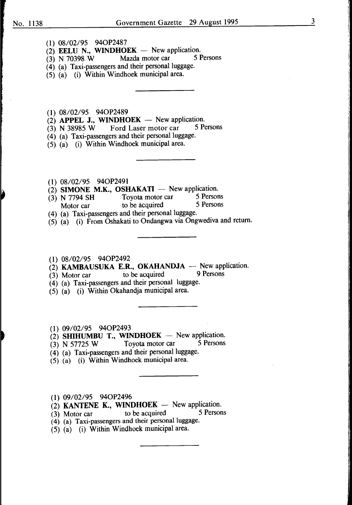- (1) 08/02/95 940P2487
- (2) EELU N., WINDHOEK New application.<br>
(3) N 70398 W Mazda motor car 5 Persons
- $(3)$  N 70398 W
- (4) (a) Taxi-passengers and their personal luggage.
- (5) (a) (i) Within Windhoek municipal area.
- (1) 08/02/95 940P2489
- (2) APPEL J., WINDHOEK  $-$  New application.<br>(3) N 38985 W Ford Laser motor car 5 Persons
- $(3)$  N 38985 W Ford Laser motor car
- (4) (a) Taxi-passengers and their personal luggage.
- (5) (a) (i) Within Windhoek municipal area.
- (1) 08/02/95 940P2491
- (2) SIMONE M.K., OSHAKATI -- New application.<br>(3) N 7794 SH Toyota motor car 5 Persons
- $(3)$  N 7794 SH Toyota motor car 5 Persons<br>Motor car to be acquired 5 Persons Motor car to be acquired
- (4) (a) Taxi-passengers and their personal luggage.
- (5) (a) (i) From Oshakati to Ondangwa via Ongwediva and return.
- (1) 08/02/95 940P2492
- $\overrightarrow{2}$  KAMBAUSUKA E.R., OKAHANDJA New application.<br>(3) Motor car to be acquired 9 Persons
- $(3)$  Motor car to be acquired
- (4) (a) Taxi-passengers and their personal luggage.
- (5) (a) (i) Within Okahandja municipal area.
- (1) 09/02/95 940P2493
- (2) SHIHUMBU T., WINDHOEK New application.<br>(3) N 57725 W Tovota motor car 5 Persons
- (3) N 57725 W Toyota motor car
- (4) (a) Taxi-passengers and their personal luggage.
- (5) (a) (i) Within Windhoek municipal area.
- (1) 09/02/95 940P2496
- (2) KANTENE K., WINDHOEK New application.<br>
(3) Motor car to be acquired 5 Persons
- $(3)$  Motor car to be acquired
- (4) (a) Taxi-passengers and their personal luggage.
- (5) (a) (i) Within Windhoek municipal area.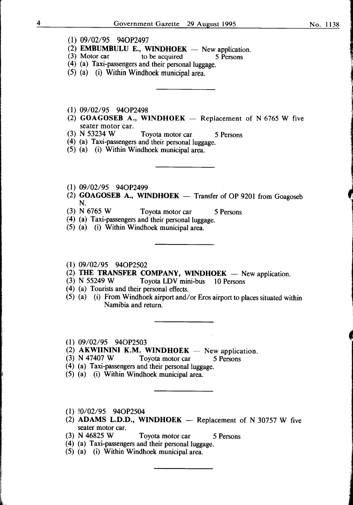1

1 **International** 

- (1) 09/02/95 940P2497
- (2) **EMBUMBULU E., WINDHOEK** New application.<br>(3) Motor car to be acquired 5 Persons
- $(3)$  Motor car to be acquired
- ( 4) (a) Taxi-passengers and their personal luggage.
- (5) (a) (i) Within Windhoek municipal area.
- (1) 09/02/95 940P2498
- (2) GOAGOSEB A., WINDHOEK  $-$  Replacement of N 6765 W five seater motor car.<br>(3) N 53234 W
- Toyota motor car 5 Persons
- (4) (a) Taxi-passengers and their personal luggage.
- (5) (a) (i) Within Windhoek municipal area.
- (1) 09/02/95 940P2499
- (2) GOAGOSEB A., WINDHOEK  $-$  Transfer of OP 9201 from Goagoseb N.
- (3) N 6765 W Toyota motor car 5 Persons
- (4) (a) Taxi-passengers and their personal luggage.
- (5) (a) (i) Within Windhoek municipal area.
- (1) 09/02/95 940P2502
- (2) THE TRANSFER COMPANY, WINDHOEK New application.<br>(3) N 55249 W Tovota LDV mini-bus 10 Persons
- Toyota LDV mini-bus 10 Persons
- ( 4) (a) Tourists and their personal effects.
- (5) (a) (i) From Windhoek airport and/or Eros airport to places situated within Namibia and return.
- (1) 09/02/95 940P2503
- (2) AKWIININI K.M. WINDHOEK New application.<br>(3) N 47407 W Tovota motor car 5 Persons
	- Toyota motor car 5 Persons
- (4) (a) Taxi-passengers and their personal luggage.
- (5) (a) (i) Within Windhoek municipal area.
- (1) !0/02/95 940P2504
- (2) ADAMS L.D.D., WINDHOEK  $-$  Replacement of N 30757 W five seater motor car.
- (3) N 46825 W Toyota motor car 5 Persons
- (4) (a) Taxi-passengers and their personal luggage.
- (5) (a) (i) Within Windhoek municipal area.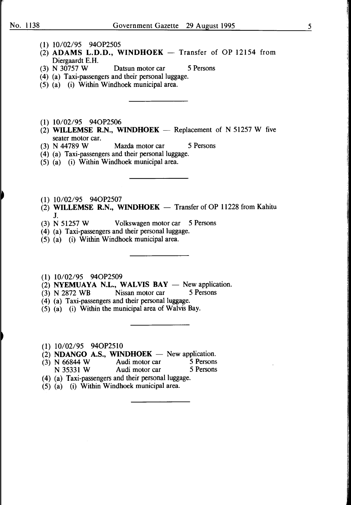- (1) 10/02/95 940P2505
- (2) ADAMS L.D.D., WINDHOEK  $-$  Transfer of OP 12154 from Diergaardt E.H.<br>(3) N 30757 W
- Datsun motor car 5 Persons
- (4) (a) Taxi-passengers and their personal luggage.
- (5) (a) (i) Within Windhoek municipal area.
- (1) 10/02/95 940P2506
- (2) WILLEMSE R.N., WINDHOEK  $-$  Replacement of N 51257 W five seater motor car.<br>(3)  $N$  44789 W
- Mazda motor car 5 Persons
- (4) (a) Taxi-passengers and their personal luggage.
- (5) (a) (i) Within Windhoek municipal area.
- (1) 10/02/95 940P2507
- (2) WILLEMSE R.N., WINDHOEK  $-$  Transfer of OP 11228 from Kahitu
- $J.$ <br>(3) N 51257 W Volkswagen motor car 5 Persons
- (4) (a) Taxi-passengers and their personal luggage.
- (5) (a) (i) Within Windhoek municipal area.
- (1) 10/02/95 940P2509
- (2) NYEMUAYA N.L., WALVIS BAY  $-$  New application.<br>(3) N 2872 WB Nissan motor car 5 Persons
- $(3)$  N 2872 WB
- (4) (a) Taxi-passengers and their personal luggage.
- (5) (a) (i) Within the municipal area of Walvis Bay.
- (1) 10/02/95 940P2510
- (2) NDANGO A.S., WINDHOEK New application.<br>(3) N 66844 W Audi motor car 5 Persons
- (3) N 66844 W Audi motor car 5 Persons<br>
N 35331 W Audi motor car 5 Persons N 35331 W Audi motor car
- (4) (a) Taxi-passengers and their personal luggage.
- $(5)$   $(a)$   $(i)$  Within Windhoek municipal area.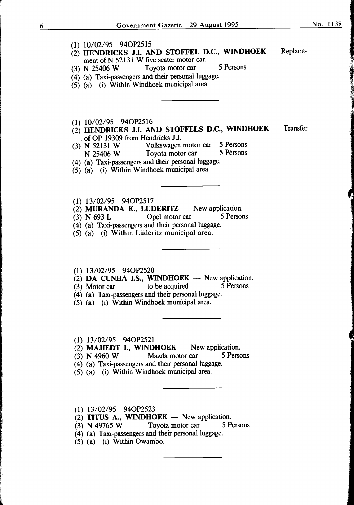No. 1138

- (1) 10/02/95 94OP2515
- $(2)$  HENDRICKS J.I. AND STOFFEL D.C., WINDHOEK Replacement of N 52131 W five seater motor car.
- (3) N 25406 W Toyota motor car 5 Persons
- (4) (a) Taxi-passengers and their personal luggage.
- (5) (a) (i) Within Windhoek municipal area.
- (1) 10/02/95 940P2516
- $(2)$  HENDRICKS J.I. AND STOFFELS D.C., WINDHOEK Transfer
- of OP 19309 from Hendricks J.I.<br>(3) N 52131 W Volkswagen Volkswagen motor car 5 Persons<br>Tovota motor car 5 Persons N 25406 W Toyota motor car
- (4) (a) Taxi-passengers and their personal luggage.
- (5) (a) (i) Within Windhoek municipal area.
- (1) 13/02/95 940P2517
- (2) MURANDA K., LUDERITZ  $-$  New application.<br>(3) N 693 L (Opel motor car 5 Persons)
- $(3)$  N 693 L Opel motor car
- (4) (a) Taxi-passengers and their personal luggage.
- (5) (a) (i) Within Liideritz municipal area.
- (1) 13/02/95 940P2520
- (2) DA CUNHA I.S., WINDHOEK  $-$  New application.<br>(3) Motor car to be acquired 5 Persons
- $(3)$  Motor car to be acquired
- (4) (a) Taxi-passengers and their personal luggage.
- (5) (a) (i) Within Windhoek municipal area.
- (1) 13/02/95 940P2521
- (2) MAJIEDT I., WINDHOEK  $-$  New application.
- (3) N 4960 W Mazda motor car 5 Persons
- (4) (a) Taxi-passengers and their personal luggage.
- (5) (a) (i) Within Windhoek municipal area.
- (1) 13/02/95 940P2523
- $(2)$  TITUS A., WINDHOEK New application.
- (3) N 49765 W Toyota motor car 5 Persons
- (4) (a) Taxi-passengers and their personal luggage.
- (5) (a) (i) Within Owambo.

J.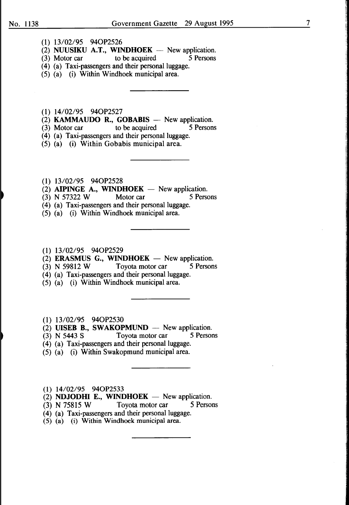- (1) 13/02/95 940P2526
- (2) NUUSIKU A.T., WINDHOEK New application.<br>(3) Motor car to be acquired 5 Persons
- $(3)$  Motor car
- (4) (a) Taxi-passengers and their personal luggage.
- (5) (a) (i) Within Windhoek municipal area.
- (1) 14/02/95 940P2527
- $(2)$  KAMMAUDO R., GOBABIS  $-$  New application.
- (3) Motor car to be acquired  $\overline{\phantom{a}}$  5 Persons
- (4) (a) Taxi-passengers and their personal luggage.
- (5) (a) (i) Within Gobabis municipal area.
- (1) 13/02/95 940P2528
- (2) AIPINGE A., WINDHOEK New application.<br>
(3) N 57322 W Motor car 5 Persons
- $(3)$  N 57322 W Motor car
- (4) (a) Taxi-passengers and their personal luggage.
- (5) (a) (i) Within Windhoek municipal area.
- (1) 13/02/95 940P2529
- $(2)$  **ERASMUS G., WINDHOEK** New application.
- $(3)$  N 59812 W Toyota motor car  $\overline{\phantom{1}}$  5 Persons
- (4) (a) Taxi-passengers and their personal luggage.
- (5) (a) (i) Within Windhoek municipal area.
- (1) 13/02/95 940P2530
- (2) UISEB B., SWAKOPMUND  $-$  New application.
- (3) N 5443 S Toyota motor car 5 Persons
- (4) (a) Taxi-passengers and their personal luggage.
- (5) (a) (i) Within Swakopmund municipal area.
- (1) 14/02/95 940P2533
- (2) NDJODHI E., WINDHOEK  $-$  New application.
- (3) N 75815 W Toyota motor car 5 Persons
- (4) (a) Taxi-passengers and their personal luggage.
- (5) (a) (i) Within Windhoek municipal area.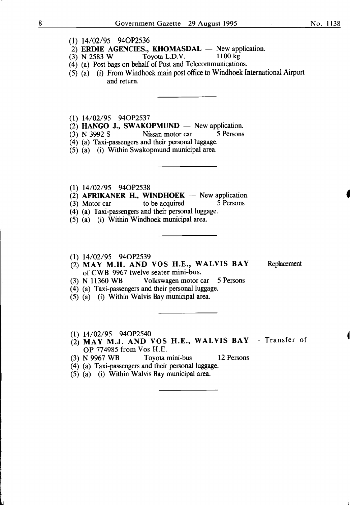- (1) 14/02/95 940P2536
- 2) ERDIE AGENCIES., KHOMASDAL  $-$  New application.<br>(3) N 2583 W Toyota L.D.V. 1100 kg
- $(3)$  N 2583 W
- (4) (a) Post bags on behalf of Post and Telecommunications.
- (5) (a) (i) From Windhoek main post office to Windhoek International Airport and return.

(1) 14/02/95 940P2537

- (2) **HANGO J., SWAKOPMUND** New application.<br>(3) N 3992 S Nissan motor car 5 Persons
- $(3)$  N 3992 S Nissan motor car
- (4)" (a) Taxi-passengers and their personal luggage.

(5) (a) (i) Within Swakopmund municipal area.

- (1) 14/02/95 940P2538
- (2) AFRIKANER H., WINDHOEK  $-$  New application.<br>(3) Motor car to be acquired 5 Persons
- $(3)$  Motor car
- (4) (a) Taxi-passengers and their personal luggage.
- (5) (a) (i) Within Windhoek municipal area.
- (1) 14/02/95 940P2539
- (2) MAY M.H. AND VOS H.E., WALVIS BAY  $-$  Replacement of CWB 9967 twelve seater mini-bus.
- (3) N 11360 WH Volkswagen motor car 5 Persons
- (4) (a) Taxi-passengers and their personal luggage.
- (5) (a) (i) Within Walvis Bay municipal area.
- (1) 14/02/95 940P2540
- $(2)$  MAY M.J. AND VOS H.E., WALVIS BAY Transfer of OP 774985 from Vos H.E.
- (3) N 9967 WB Toyota mini-bus 12 Persons
- (4) (a) Taxi-passengers and their personal luggage.
- (5) (a) (i) Within Walvis Bay municipal area.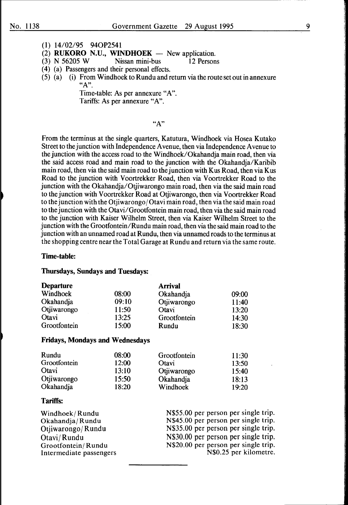- (1) 14/02/95 940P2541
- (2) RUKORO N.U., WINDHOEK  $-$  New application.
- (3) N 56205 W Nissan mini-bus 12 Persons
- ( 4) (a) Passengers and their personal effects.
- (5) (a) (i) From Windhoek to Rundu and return via the route set out in annexure  $"A"$ .

Time-table: As per annexure "A". Tariffs: As per annexure "A".

#### "A"

From the terminus at the single quarters, Katutura, Windhoek via Hosea Kutako Street to the junction with Independence A venue, then via Independence A venue to the junction with the access road to the Windhoek/Okahandja main road, then via the said access road and main road to the junction with the Okahandja/Karibib main road, then via the said main road to the junction with K us Road, then via K us Road to the junction with Voortrekker Road, then via Voortrekker Road to the junction with the Okahandja/Otjiwarongo main road, then via the said main road to the junction with Voortrekker Road at Otjiwarongo, then via Voortrekker Road to the junction with the Otjiwarongo/Otavi main road, then via the said main road to the junction with the Otavi/Grootfontein main road, then via the said main road to the junction with Kaiser Wilhelm Street, then via Kaiser Wilhelm Street to the junction with the Grootfontein/Rundu main road, then via the said main road to the junction with an unnamed road at Rundu, then via unnamed roads to the terminus at the shopping centre near the Total Garage at Rundu and return via the same route.

#### Time-table:

#### Thursdays, Sundays and Tuesdays:

| <b>Departure</b> |       | <b>Arrival</b> |       |
|------------------|-------|----------------|-------|
| Windhoek         | 08:00 | Okahandja      | 09:00 |
| Okahandja        | 09:10 | Otjiwarongo    | 11:40 |
| Otjiwarongo      | 11:50 | Otavi          | 13:20 |
| Otavi            | 13:25 | Grootfontein   | 14:30 |
| Grootfontein     | 15:00 | Rundu          | 18:30 |

#### Fridays, Mondays and Wednesdays

| Rundu        | 08:00 | Grootfontein | 11:30 |
|--------------|-------|--------------|-------|
| Grootfontein | 12:00 | Otavi        | 13:50 |
| Otavi        | 13:10 | Otjiwarongo  | 15:40 |
| Otjiwarongo  | 15:50 | Okahandja    | 18:13 |
| Okahandja    | 18:20 | Windhoek     | 19:20 |

#### Tariffs:

| Windhoek/Rundu          | N\$55.00 per person per single trip. |
|-------------------------|--------------------------------------|
| Okahandja/Rundu         | N\$45.00 per person per single trip. |
| Otjiwarongo/Rundu       | N\$35.00 per person per single trip. |
| Otavi/Rundu             | N\$30.00 per person per single trip. |
| Grootfontein/Rundu      | N\$20.00 per person per single trip. |
| Intermediate passengers | N\$0.25 per kilometre.               |
|                         |                                      |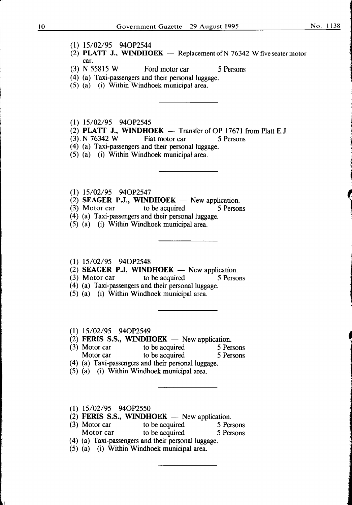la de la constitución de la constitución de la constitución de la constitución de la constitución de la constitución de la constitución de la constitución de la constitución de la constitución de la constitución de la cons

,

line and manufacturers

- (1) 15/02/95 940P2544
- (2) PLATT J., WINDHOEK  $-$  Replacement of N 76342 W five seater motor car.
- (3) N 55815 W Ford motor car 5 Persons
- (4) (a) Taxi-passengers and their personal luggage.
- (5) (a) (i) Within Windhoek municipal area.
- (1) 15/02/95 940P2545
- (2) **PLATT J., WINDHOEK**  $-$  Transfer of OP 17671 from Platt E.J.
- $(3)$ , N 76342 W Fiat motor car 5 Persons
- (4) (a) Taxi-passengers and their personal luggage.
- (5) (a) (i) Within Windhoek municipal area.
- (1) 15/02/95 940P2547
- (2) **SEAGER P.J., WINDHOEK** New application.<br>(3) Motor car to be acquired 5 Persons
- $(3)$  Motor car
- (4) (a) Taxi-passengers and their personal luggage.
- (5) (a) (i) Within Windhoek municipal area.

#### (1) 15/02/95 940P2548

- (2) SEAGER P.J, WINDHOEK  $-$  New application.
- (3) Motor car to be acquired 5 Persons
- ( 4) (a) Taxi-passengers and their personal luggage.
- (5) (a) (i) Within Windhoek municipal area.

#### (1) 15/02/95 940P2549

- (2) FERIS S.S., WINDHOEK  $-$  New application.
- (1)  $15/02/95$  94OP2549<br>
(2) FERIS S.S., WINDHOEK New application.<br>
(3) Motor car to be acquired 5 Persons 'no be acquired 5 Persons  $\begin{array}{ccc} (3) & \text{Motor car} \\ \text{Motor car} \\ \text{Motor car} \\ \end{array}$  to be acquired  $\begin{array}{ccc} 5 & \text{Persons} \\ 5 & \text{Persons} \\ \end{array}$
- (4) (a) Taxi-passengers and their personal luggage.
- 
- (5) (a) (i) Within Windhoek municipal area.
- (1) 15/02/95 940P2550
- (2) FERIS S.S., WINDHOEK  $-$  New application.
- (3) Motor car to be acquired 5 Persons<br>Motor car to be acquired 5 Persons Motor car to be acquired
- ( 4) (a) Taxi-passengers and their personal luggage.
- (5) (a) (i) Within Windhoek municipal area.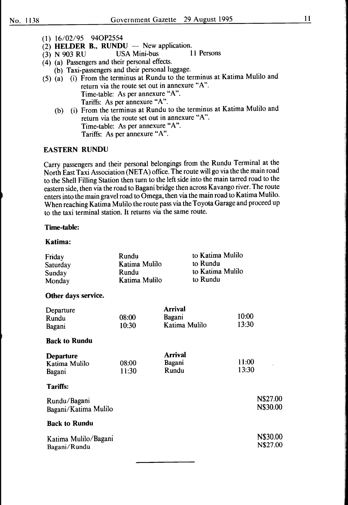- (1) 16/02/95 94OP2554
- $\overrightarrow{2}$  **HELDER B., RUNDU** New application.<br>(3) N 903 RU USA Mini-bus 11 Persons
- $(3)$  N 903 RU
- $(4)$  (a) Passengers and their personal effects.
	- (b) Taxi-passengers and their personal luggage.
- (5) (a) (i) From the terminus at Rundu to the terminus at Katima Mulilo and return via the route set out in annexure "A". Time-table: As per annexure "A". Tariffs: As per annexure "A".
	- (b) (i) From the terminus at Rundu to the terminus at Katima Mulilo and return via the route set out in annexure "A". Time-table: As per annexure "A". Tariffs: As per annexure "A".

#### EASTERN RUNDU

Carry passengers and their personal belongings from the Rundu Terminal at the North East Taxi Association (NET A) office. The route will go via the the main road to the Shell Filling Station then turn to the left side into the main tarred road to the eastern side, then via the road to Bagani bridge then across Kavango river. The route enters into the main gravel road to Omega, then via the main road to Katima Mulilo. When reaching Katima Mulilo the route pass via the Toyota Garage and proceed up to the taxi terminal station. It returns via the same route.

#### Time-table:

#### Katima:

| Friday<br>Saturday<br>Sunday<br>Monday      | Rundu<br>Katima Mulilo<br>Rundu<br>Katima Mulilo | to Katima Mulilo<br>to Rundu<br>to Katima Mulilo<br>to Rundu |                |                      |
|---------------------------------------------|--------------------------------------------------|--------------------------------------------------------------|----------------|----------------------|
| Other days service.                         |                                                  |                                                              |                |                      |
| Departure<br>Rundu<br>Bagani                | 08:00<br>10:30                                   | Arrival<br>Bagani<br>Katima Mulilo                           | 10:00<br>13:30 |                      |
| <b>Back to Rundu</b>                        |                                                  |                                                              |                |                      |
| <b>Departure</b><br>Katima Mulilo<br>Bagani | 08:00<br>11:30                                   | <b>Arrival</b><br>Bagani<br>Rundu                            | 11:00<br>13:30 |                      |
| <b>Tariffs:</b>                             |                                                  |                                                              |                |                      |
| Rundu/Bagani<br>Bagani/Katima Mulilo        |                                                  |                                                              |                | N\$27.00<br>N\$30.00 |
| <b>Back to Rundu</b>                        |                                                  |                                                              |                |                      |
| Katima Mulilo/Bagani<br>Bagani/Rundu        |                                                  |                                                              |                | N\$30.00<br>N\$27.00 |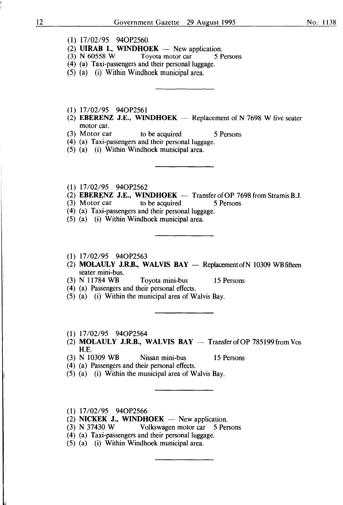- $(1)$  17/02/95 94OP2560
- (2) **UIRAB I., WINDHOEK** New application.<br>(3) N 60558 W Tovota motor car 5 Persons
- Toyota motor car
- (4) (a) Taxi-passengers and their personal luggage.
- (5) (a) (i) Within Windhoek municipal area.
- (1) 17/02/95 940P2561
- (2) EBERENZ J.E., WINDHOEK  $-$  Replacement of N 7698 W five seater motor car.
- (3) Motor car to be acquired 5 Persons
- (4) (a) Taxi-passengers and their personal luggage.
- (5) (a) (i) Within Windhoek municipal area.
- (1) 17/02/95 94OP2562
- (2) **EBERENZ J.E., WINDHOEK** Transfer of OP 7698 from Stramis B.J.<br>(3) Motor car to be acquired 5 Persons
- (3) Motor car to be acquired 5 Persons
- (4) (a) Taxi-passengers and their personal luggage.
- (5) (a) (i) Within Windhoek municipal area.
- (1) 17/02/95 94OP2563
- (2) **MOLAULY J.R.B., WALVIS BAY** Replacement of N 10309 WB fifteen seater mini-bus.
- (3) N 11784 WB Toyota mini-bus 15 Persons
- ( 4) (a) Passengers and their personal effects.
- (5) (a) (i) Within the municipal area of Walvis Bay.
- ( 1) 17/02/95 940P2564
- (2) **MOLAULY J.R.B., WALVIS BAY** Transfer of OP 785199 from Vos H.E.
- (3) N 10309 WB Nissan mini-bus 15 Persons
- ( 4) (a) Passengers and their personal effects.
- (5) (a) (i) Within the municipal area of Walvis Bay.
- (1) 17/02/95 940P2566
- (2) NICKEK **J., WINDHOEK**  $-$  New application.
- (3) N 37430 W Volkswagen motor car 5 Persons
- (4) (a) Taxi-passengers and their personal luggage.
- (5) (a) (i) Within Windhoek municipal area.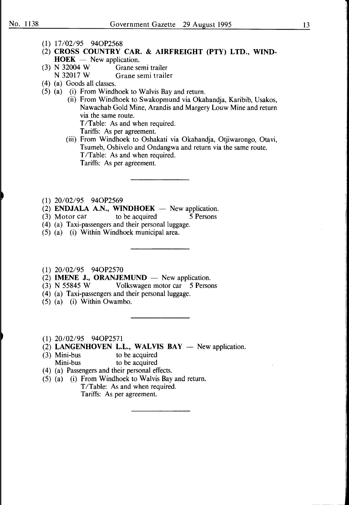- (1) 17/02/95 940P2568
- (2) CROSS COUNTRY CAR. & AIRFREIGHT (PTY) LTD., WIND- $HOEK - New application.$
- (3) N 32004 W Grane semi trailer N 32017 W Grane semi trailer
- ( 4) (a) Goods all classes.
- (5) (a) (i) From Windhoek to Walvis Bay and return.
	- (ii) From Windhoek to Swakopmund via Okahandja, Karibib, Usakos, Nawachab Gold Mine, Arandis and Margery Louw Mine and return via the same route. T/Table: As and when required.
		- Tariffs: As per agreement.
	- (iii) From Windhoek to Oshakati via Okahandja, Otjiwarongo, Otavi, Tsumeb, Oshivelo and Ondangwa and return via the same route. T/Table: As and when required. Tariffs: As per agreement.
- (1) 20/02/95 940P2569
- (2) ENDJALA A.N., WINDHOEK  $-$  New application.
- (3) Motor car to be acquired 5 Persons
- (4) (a) Taxi-passengers and their personal luggage.
- (5) (a) (i) Within Windhoek municipal area.
- (1) 20/02/95 940P2570
- $(2)$  **IMENE J., ORANJEMUND** New application.
- (3) N 55845 W Volkswagen motor car 5 Persons
- (4) (a) Taxi-passengers and their personal luggage.
- (5) (a) (i) Within Owambo.
- (1) 20/02/95 940P2571
- $(2)$  LANGENHOVEN L.L., WALVIS BAY  $-$  New application.
- (3) Mini-bus to be acquired Mini-bus to be acquired
- ( 4) (a) Passengers and their personal effects.
- (5) (a) (i) From Windhoek to Walvis Bay and return. T/Table: As and when required. Tariffs: As per agreement.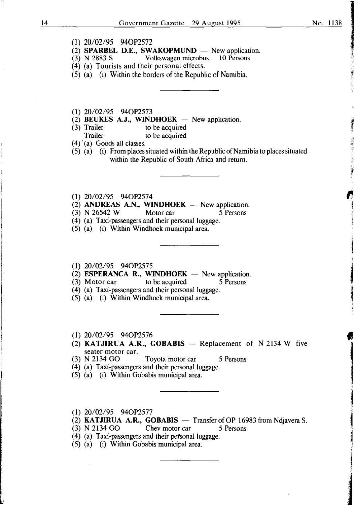**International Control Property** 

I ,,

~

like the companions of the companion

( **1)** 20/02/95 940P2572

- (2) **SPARBEL D.E., SWAKOPMUND**  New application.
- Volkswagen microbus
- (4) (a) Tourists and their personal effects.
- (5) (a) (i) Within the borders of the Republic of Namibia.
- (1) 20/02/95 940P2573
- (2) **BEUKES A.J., WINDHOEK** New application.<br>(3) Trailer to be acquired
- Trailer to be acquired<br>Trailer to be acquired to be acquired
- $(4)$  (a) Goods all classes.
- (5) (a) (i) From places situated within the Republic of Namibia to places situated within the Republic of South Africa and return.
- (1) 20/02/95 940P2574
- $(2)$  **ANDREAS A.N., WINDHOEK** New application.
- (3) N 26542 W Motor car 5 Persons
- (4) (a) Taxi-passengers and their personal luggage.
- (5) (a) (i) Within Windhoek municipal area.

#### (1) 20/02/95 940P2575

- $(2)$  **ESPERANCA R., WINDHOEK** New application.
- (3) Motor car to be acquired 5 Persons
- (4) (a) Taxi-passengers and their personal luggage.
- (5) (a) (i) Within Windhoek municipal area.
- **(1)** 20/02/95 940P2576
- (2) **KATJIRUA A.R., GOBABIS** -- Replacement of N 2134 W five seater motor car.<br>(3) N 2134 GO
- Toyota motor car 5 Persons
- (4) (a) Taxi-passengers and their personal luggage.
- (5) (a) (i) Within Gobabis municipal area.
- **(1)** 20/02/95 940P2577
- (2) **KATJIRUA A.R., GOBABIS**  $-$  Transfer of OP 16983 from Ndjavera S.<br>(3) N 2134 GO Chev motor car 5 Persons
- Chev motor car 5 Persons
- (4) (a) Taxi-passengers and their personal luggage.
- (5) (a) (i) Within Gobabis municipal area.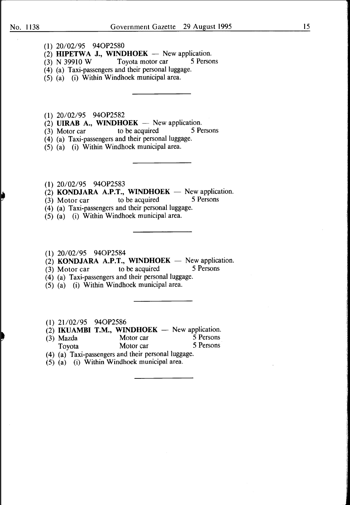- (1) 20/02/95 940P2580
- (2) **HIPETWA J., WINDHOEK** New application.<br>(3) N 39910 W Tovota motor car 5 Persons
- $(3)$  N 39910 W Toyota motor car
- (4) (a) Taxi-passengers and their personal luggage.
- (5) (a) (i) Within Windhoek municipal area.
- **(1)** 20/02/95 940P2582
- $(2)$  **UIRAB A., WINDHOEK** New application.
- (3) Motor car to be acquired 5 Persons
- (4) (a) Taxi-passengers and their personal luggage.
- (5) (a) (i) Within Windhoek municipal area.
- **(1)** 20/02/95 940P2583
- (2) **KONDJARA A.P.T., WINDHOEK** New application.<br>(3) Motor car to be acquired 5 Persons
- (3) Motor car
- (4) (a) Taxi-passengers and their personal luggage.
- (5) (a) (i) Within Windhoek municipal area.
- **(1)** 20/02/95 940P2584
- (2) **KONDJARA A.P.T., WINDHOEK**  $-$  New application.<br>(3) Motor car to be acquired 5 Persons
- $(3)$  Motor car to be acquired
- (4) (a) Taxi-passengers and their personal luggage.
- (5) (a) (i) Within Windhoek municipal area.
- (1) 21/02/95 940P2586
- (2) **IKUAMBI T.M., WINDHOEK**  $-$  New application.<br>(3) Mazda Motor car 5 Persons
- (3) Mazda Motor car 5 Persons Toyota Motor car
- (4) (a) Taxi-passengers and their personal luggage.
- (5) (a) (i) Within Windhoek municipal area.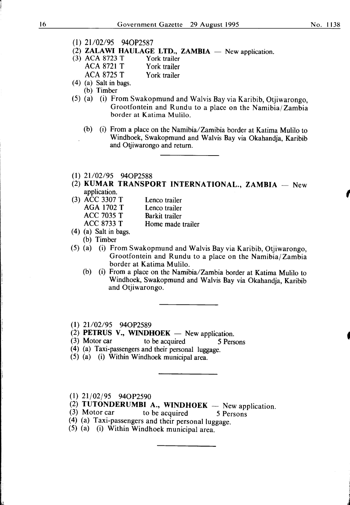- 
- (1) 21/02/95 940P2587
- (2) **ZALAWI HAULAGE LTD., ZAMBIA**  $-$  New application.<br>(3) ACA 8723 T York trailer
- (3) ACA 8723 T ACA 8721 T York trailer ACA 8725 T York trailer
- (4) (a) Salt in bags.
- (b) Timber
- (5) (a) (i) From Swakopmund and Walvis Bay via Karibib, Otjiwarongo, Grootfontein and Rundu to a place on the Namibia/ Zambia border at Katima Mulilo.
	- (b) (i) From a place on the Namibia/Zamibia border at Katima Mulilo to Windhoek, Swakopmund and Walvis Bay via Okahandja, Karibib and Otjiwarongo and return.

#### $(1)$  21/02/95 94OP2588

(2) KUMAR TRANSPORT INTERNATIONAL., ZAMBIA  $-$  New application.

| (3) ACC 3307 T    | Lenco trailer     |
|-------------------|-------------------|
| <b>AGA 1702 T</b> | Lenco trailer     |
| <b>ACC 7035 T</b> | Barkit trailer    |
| <b>ACC 8733 T</b> | Home made trailer |

- (4) (a) Salt in bags.
	- (b) Timber
- (5) (a) (i) From Swakopmund and Walvis Bay via Karibib, Otjiwarongo, Grootfontein and Rundu to a place on the Namibia/ Zambia border at Katima Mulilo.
	- (b) (i) From a place on the Namibia/Zambia border at Katima Mulilo to Windhoek, Swakopmund and Walvis Bay via Okahandja, Karibib and Otjiwarongo.
- $(1)$  21/02/95 94OP2589
- (2) **PETRUS V., WINDHOEK** New application.<br>(3) Motor car to be acquired 5 Pers
- to be acquired 5 Persons
- (4) (a) Taxi-passengers and their personal luggage.
- (5) (a) (i) Within Windhoek municipal area.
- (1) 21/02/95 940P2590

J,

- (2) TUTONDERUMBI A., WINDHOEK New application.<br>(3) Motor car to be acquired 5 Persons
- (3) Motor car to be acquired  $5$  Persons
- (4) (a) Taxi-passengers and their personal luggage.
- (5) (a) (i) Within Windhoek municipal area.

,

i J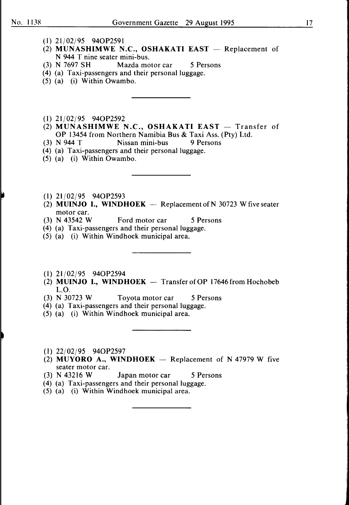- (l) 21/02/95 940P2591
- (2) MUNASHIMWE N.C., OSHAKATI EAST  $-$  Replacement of N 944 T nine seater mini-bus.
- (3) N 7697 SH Mazda motor car 5 Persons
- (4) (a) Taxi-passengers and their personal luggage.
- (5) (a) (i) Within Owambo.
- (I) 21/02/95 940P2592
- (2) MUNASHIMWE N.C., OSHAKATI EAST  $-$  Transfer of OP 13454 from Northern Namibia Bus & Taxi Ass. (Pty) Ltd.
- (3) N 944 T Nissan mini-bus 9 Persons
- (4) (a) Taxi-passengers and their personal luggage.
- (5) (a) (i) Within Owambo.
- (I) 21/02/95 940P2593
- (2) MUINJO I., WINDHOEK  $-$  Replacement of N 30723 W five seater motor car.<br>(3) N 43542 W
- Ford motor car 5 Persons
- (4) (a) Taxi-passengers and their personal luggage.
- (5) (a) (i) Within Windhoek municipal area.
- (I) 21/02/95 940P2594
- (2) MUINJO I., WINDHOEK  $-$  Transfer of OP 17646 from Hochobeb L.O.<br>(3) N 30723 W
- Toyota motor car 5 Persons
- (4) (a) Taxi-passengers and their personal luggage.
- (5) (a) (i) Within Windhoek municipal area.
- (1) 22/02/95 940P2597
- (2) MUYORO A., WINDHOEK  $-$  Replacement of N 47979 W five seater motor car.
- (3) N 43216 W Japan motor car 5 Persons
- (4) (a) Taxi-passengers and their personal luggage.
- (5) (a) (i) Within Windhoek municipal area.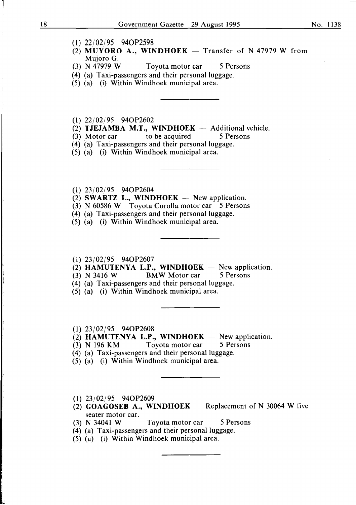- (1) 22/02/95 940P2598
- (2) **MUYORO A., WINDHOEK** Transfer of N 47979 W from Mujoro G.<br>(3) N 47979 W
- Toyota motor car 5 Persons
- (4) (a) Taxi-passengers and their personal luggage.
- (5) (a) (i) Within Windhoek municipal area.
- (1) 22/02/95 940P2602
- (2) **TJEJAMBA M.T., WINDHOEK**  $-$  Additional vehicle.<br>(3) Motor car to be acquired 5 Persons
- $(3)$  Motor car
- (4) (a) Taxi-passengers and their personal luggage.
- (5) (a) (i) Within Windhoek municipal area.
- (1) 23/02/95 940P2604
- $(2)$  **SWARTZ L., WINDHOEK** New application.
- (3) N 60586 W Toyota Corolla motor car 5 Persons
- (4) (a) Taxi-passengers and their personal luggage.
- (5) (a) (i) Within Windhoek municipal area.

#### (1) 23/02/95 940P2607

- $(2)$  **HAMUTENYA L.P., WINDHOEK** New application.
- (3) N 3416 W BMW Motor car 5 Persons
- (4) (a) Taxi-passengers and their personal luggage.
- (5) (a) (i) Within Windhoek municipal area.

#### (1) 23/02/95 940P2608

- $(2)$  **HAMUTENYA L.P., WINDHOEK** New application.
- (3) N 196 KM Toyota motor car 5 Persons
- (4) (a) Taxi-passengers and their personal luggage.
- (5) (a) (i) Within Windhoek municipal area.
- (1) 23/02/95 940P2609
- $(2)$  **GOAGOSEB A., WINDHOEK** Replacement of N 30064 W five seater motor car.
- (3) N 34041 W Toyota motor car 5 Persons
- (4) (a) Taxi-passengers and their personal luggage.
- (5) (a) (i) Within Windhoek municipal area.

1

1.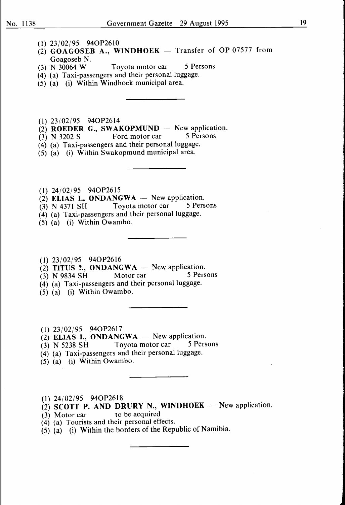- (1) 23/02/95 940P2610
- $(2)$  GOAGOSEB A., WINDHOEK Transfer of OP 07577 from Goagoseb N.<br>(3) N 30064 W
- Toyota motor car 5 Persons
- (4) (a) Taxi-passengers and their personal luggage.
- (5) (a) (i) Within Windhoek municipal area.
- (1) 23/02/95 940P2614
- (2) **ROEDER G., SWAKOPMUND** New application.<br>(3) N 3202 S Ford motor car 5 Persons
- (3) N 3202 S Ford motor car
- (4) (a) Taxi-passengers and their personal luggage.
- (5) (a) (i) Within Swakopmund municipal area.
- (l) 24/02/95 940P2615
- $(2)$  ELIAS I., ONDANGWA  $-$  New application.
- (3) N 4371 SH Toyota motor car 5 Persons
- (4) (a) Taxi-passengers and their personal luggage.
- (5) (a) (i) Within Owambo.
- (l) 23/02/95 940P2616
- (2) TITUS ?., ONDANGWA  $-$  New application.
- $(3)$  N 9834 SH Motor car 5 Persons
- (4) (a) Taxi-passengers and their personal luggage.
- (5) (a) (i) Within Owambo.

(1) 23/02/95 940P2617

- (2) ELIAS I., ONDANGWA  $-$  New application.
- (3) N 5238 SH Toyota motor car 5 Persons
- (4) (a) Taxi-passengers and their personal luggage.
- (5) (a) (i) Within Owambo.
- (l) 24/02/95 940P2618
- $(2)$  SCOTT P. AND DRURY N., WINDHOEK New application.
- $(3)$  Motor car to be acquired
- (4) (a) Tourists and their personal effects.
- (5) (a) (i) Within the borders of the Republic of Namibia.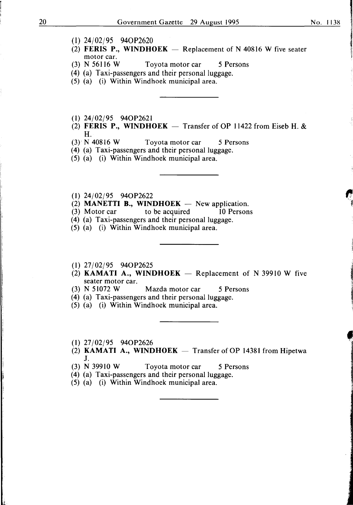- (I) 24/02/95 940P2620
- (2) FERIS P., WINDHOEK  $-$  Replacement of N 40816 W five seater motor car.<br>(3) N 56116 W
- Toyota motor car 5 Persons
- (4) (a) Taxi-passengers and their personal luggage.
- (5) (a) (i) Within Windhoek municipal area.
- (1) 24/02/95 940P2621
- (2) FERIS P., WINDHOEK  $-$  Transfer of OP 11422 from Eiseb H. &  $H.$ <br>(3) N 40816 W
- Toyota motor car 5 Persons
- (4) (a) Taxi-passengers and their personal luggage.
- (5) (a) (i) Within Windhoek municipal area.
- (1) 24/02/95 940P2622
- (2) **MANETTI B., WINDHOEK** New application.<br>(3) Motor car to be acquired 10 Persons
- $(3)$  Motor car
- (4) (a) Taxi-passengers and their personal luggage.
- (5) (a) (i) Within Windhoek municipal area.
- (I) 27/02/95 940P2625
- (2) KAMATI A., WINDHOEK  $-$  Replacement of N 39910 W five seater motor car.<br>(3)  $N$  51072 W
- Mazda motor car 5 Persons
- (4) (a) Taxi-passengers and their personal luggage.
- (5) (a) (i) Within Windhoek municipal area.
- (1) 27/02/95 940P2626
- (2) KAMATI A., WINDHOEK  $-$  Transfer of OP 14381 from Hipetwa J.
- (3) N 39910 W Toyota motor car 5 Persons
- (4) (a) Taxi-passengers and their personal luggage.
- (5) (a) (i) Within Windhoek municipal area.

le de la maria de la constitución

**In the contract of the contract of the contract of the contract of the contract of the contract of the contract**